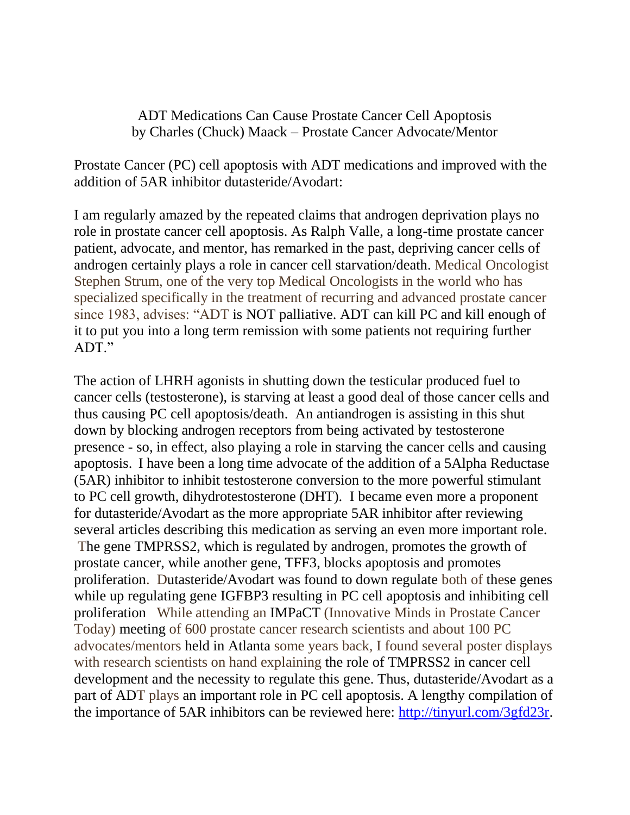ADT Medications Can Cause Prostate Cancer Cell Apoptosis by Charles (Chuck) Maack – Prostate Cancer Advocate/Mentor

Prostate Cancer (PC) cell apoptosis with ADT medications and improved with the addition of 5AR inhibitor dutasteride/Avodart:

I am regularly amazed by the repeated claims that androgen deprivation plays no role in prostate cancer cell apoptosis. As Ralph Valle, a long-time prostate cancer patient, advocate, and mentor, has remarked in the past, depriving cancer cells of androgen certainly plays a role in cancer cell starvation/death. Medical Oncologist Stephen Strum, one of the very top Medical Oncologists in the world who has specialized specifically in the treatment of recurring and advanced prostate cancer since 1983, advises: "ADT is NOT palliative. ADT can kill PC and kill enough of it to put you into a long term remission with some patients not requiring further ADT"

The action of LHRH agonists in shutting down the testicular produced fuel to cancer cells (testosterone), is starving at least a good deal of those cancer cells and thus causing PC cell apoptosis/death. An antiandrogen is assisting in this shut down by blocking androgen receptors from being activated by testosterone presence - so, in effect, also playing a role in starving the cancer cells and causing apoptosis. I have been a long time advocate of the addition of a 5Alpha Reductase (5AR) inhibitor to inhibit testosterone conversion to the more powerful stimulant to PC cell growth, dihydrotestosterone (DHT). I became even more a proponent for dutasteride/Avodart as the more appropriate 5AR inhibitor after reviewing several articles describing this medication as serving an even more important role. The gene TMPRSS2, which is regulated by androgen, promotes the growth of prostate cancer, while another gene, TFF3, blocks apoptosis and promotes proliferation. Dutasteride/Avodart was found to down regulate both of these genes while up regulating gene IGFBP3 resulting in PC cell apoptosis and inhibiting cell proliferation While attending an IMPaCT (Innovative Minds in Prostate Cancer Today) meeting of 600 prostate cancer research scientists and about 100 PC advocates/mentors held in Atlanta some years back, I found several poster displays with research scientists on hand explaining the role of TMPRSS2 in cancer cell development and the necessity to regulate this gene. Thus, dutasteride/Avodart as a part of ADT plays an important role in PC cell apoptosis. A lengthy compilation of the importance of 5AR inhibitors can be reviewed here: [http://tinyurl.com/3gfd23r.](http://tinyurl.com/3gfd23r)